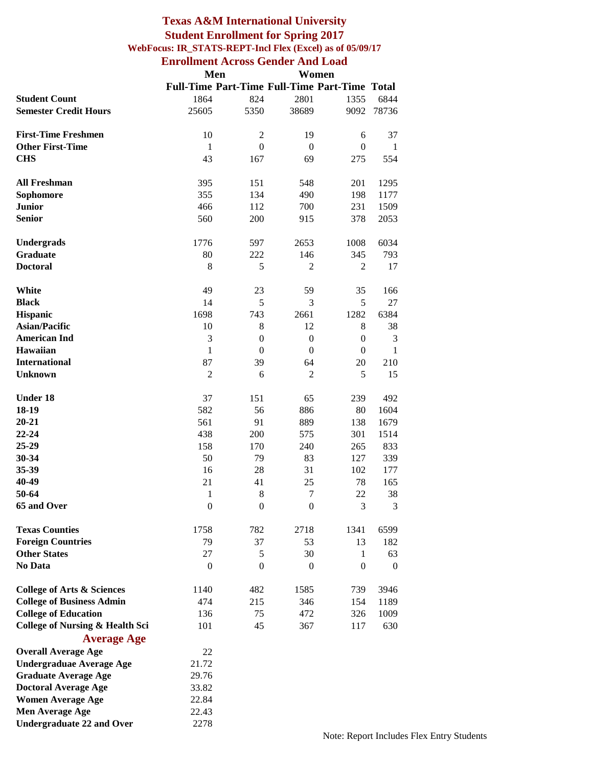#### **Texas A&M International University Student Enrollment for Spring 2017 WebFocus: IR\_STATS-REPT-Incl Flex (Excel) as of 05/09/17 Enrollment Across Gender And Load**

|                                            | Men              |                  |                  | Women                                                |                  |
|--------------------------------------------|------------------|------------------|------------------|------------------------------------------------------|------------------|
|                                            |                  |                  |                  | <b>Full-Time Part-Time Full-Time Part-Time Total</b> |                  |
| <b>Student Count</b>                       | 1864             | 824              | 2801             | 1355                                                 | 6844             |
| <b>Semester Credit Hours</b>               | 25605            | 5350             | 38689            | 9092                                                 | 78736            |
|                                            |                  |                  |                  |                                                      |                  |
| <b>First-Time Freshmen</b>                 | 10               | $\overline{c}$   | 19               | 6                                                    | 37               |
| <b>Other First-Time</b>                    | $\mathbf{1}$     | $\boldsymbol{0}$ | $\mathbf{0}$     | $\boldsymbol{0}$                                     | $\mathbf{1}$     |
| <b>CHS</b>                                 | 43               | 167              | 69               | 275                                                  | 554              |
|                                            |                  |                  |                  |                                                      |                  |
| <b>All Freshman</b>                        | 395              | 151              | 548              | 201                                                  | 1295             |
| Sophomore                                  | 355              | 134              | 490              | 198                                                  | 1177             |
| <b>Junior</b>                              | 466              | 112              | 700              | 231                                                  | 1509             |
| <b>Senior</b>                              | 560              | 200              | 915              | 378                                                  | 2053             |
|                                            |                  |                  |                  |                                                      |                  |
| Undergrads                                 | 1776             | 597              | 2653             | 1008                                                 | 6034             |
| Graduate                                   | 80               | 222              | 146              | 345                                                  | 793              |
| <b>Doctoral</b>                            | 8                | 5                | $\overline{c}$   | $\overline{2}$                                       | 17               |
|                                            |                  |                  |                  |                                                      |                  |
| White                                      | 49               | 23               | 59               | 35                                                   | 166              |
| <b>Black</b>                               | 14               | 5                | 3                | 5                                                    | 27               |
| <b>Hispanic</b>                            | 1698             | 743              | 2661             | 1282                                                 | 6384             |
| <b>Asian/Pacific</b>                       | 10               | 8                | 12               | 8                                                    | 38               |
| <b>American Ind</b>                        | 3                | $\boldsymbol{0}$ | $\boldsymbol{0}$ | $\boldsymbol{0}$                                     | 3                |
| <b>Hawaiian</b>                            | $\mathbf{1}$     | $\overline{0}$   | $\mathbf{0}$     | $\theta$                                             | $\mathbf{1}$     |
| <b>International</b>                       | 87               | 39               | 64               | 20                                                   | 210              |
| <b>Unknown</b>                             | $\overline{2}$   | 6                | $\overline{2}$   | 5                                                    | 15               |
|                                            |                  |                  |                  |                                                      |                  |
| <b>Under 18</b>                            | 37               | 151              | 65               | 239                                                  | 492              |
| 18-19                                      | 582              | 56               | 886              | 80                                                   | 1604             |
| $20 - 21$                                  | 561              | 91               | 889              | 138                                                  | 1679             |
| 22-24                                      | 438              | 200              | 575              | 301                                                  | 1514             |
| 25-29                                      | 158              | 170              | 240              |                                                      |                  |
| 30-34                                      | 50               | 79               |                  | 265<br>127                                           | 833              |
|                                            |                  |                  | 83<br>31         |                                                      | 339              |
| 35-39                                      | 16               | 28               |                  | 102                                                  | 177              |
| 40-49                                      | 21               | 41               | 25               | 78                                                   | 165              |
| 50-64                                      | $\mathbf{1}$     | 8                | $\tau$           | 22                                                   | 38               |
| 65 and Over                                | $\boldsymbol{0}$ | $\boldsymbol{0}$ | $\mathbf{0}$     | 3                                                    | 3                |
|                                            |                  |                  |                  |                                                      |                  |
| <b>Texas Counties</b>                      | 1758             | 782              | 2718             | 1341                                                 | 6599             |
| <b>Foreign Countries</b>                   | 79               | 37               | 53               | 13                                                   | 182              |
| <b>Other States</b>                        | 27               | 5                | 30               | 1                                                    | 63               |
| <b>No Data</b>                             | $\boldsymbol{0}$ | $\overline{0}$   | $\overline{0}$   | $\theta$                                             | $\boldsymbol{0}$ |
|                                            |                  |                  |                  |                                                      |                  |
| <b>College of Arts &amp; Sciences</b>      | 1140             | 482              | 1585             | 739                                                  | 3946             |
| <b>College of Business Admin</b>           | 474              | 215              | 346              | 154                                                  | 1189             |
| <b>College of Education</b>                | 136              | 75               | 472              | 326                                                  | 1009             |
| <b>College of Nursing &amp; Health Sci</b> | 101              | 45               | 367              | 117                                                  | 630              |
| <b>Average Age</b>                         |                  |                  |                  |                                                      |                  |
| <b>Overall Average Age</b>                 | 22               |                  |                  |                                                      |                  |
| <b>Undergraduae Average Age</b>            | 21.72            |                  |                  |                                                      |                  |
| <b>Graduate Average Age</b>                | 29.76            |                  |                  |                                                      |                  |
| <b>Doctoral Average Age</b>                | 33.82            |                  |                  |                                                      |                  |
| <b>Women Average Age</b>                   | 22.84            |                  |                  |                                                      |                  |
| <b>Men Average Age</b>                     | 22.43            |                  |                  |                                                      |                  |
| <b>Undergraduate 22 and Over</b>           | 2278             |                  |                  |                                                      |                  |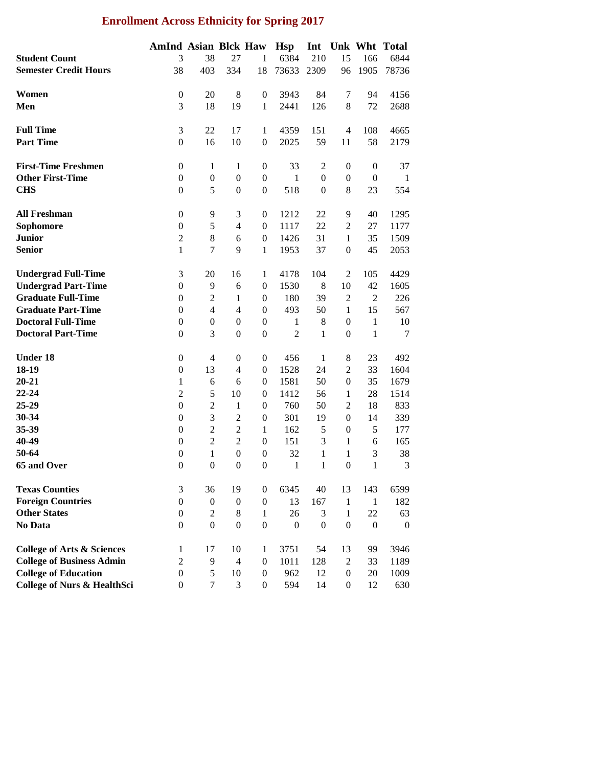## **Enrollment Across Ethnicity for Spring 2017**

|                                        | <b>AmInd Asian Blck Haw</b> |                  |                  |                  | <b>Hsp</b>       | Int              |                  |                  | Unk Wht Total |
|----------------------------------------|-----------------------------|------------------|------------------|------------------|------------------|------------------|------------------|------------------|---------------|
| <b>Student Count</b>                   | 3                           | 38               | 27               | 1                | 6384             | 210              | 15               | 166              | 6844          |
| <b>Semester Credit Hours</b>           | 38                          | 403              | 334              | 18               | 73633            | 2309             | 96               | 1905             | 78736         |
|                                        |                             |                  |                  |                  |                  |                  |                  |                  |               |
| Women                                  | $\boldsymbol{0}$            | 20               | 8                | $\overline{0}$   | 3943             | 84               | 7                | 94               | 4156          |
| Men                                    | 3                           | 18               | 19               | $\mathbf{1}$     | 2441             | 126              | 8                | 72               | 2688          |
|                                        |                             |                  |                  |                  |                  |                  |                  |                  |               |
| <b>Full Time</b>                       | 3                           | 22               | 17               | $\mathbf{1}$     | 4359             | 151              | $\overline{4}$   | 108              | 4665          |
| <b>Part Time</b>                       | $\boldsymbol{0}$            | 16               | 10               | $\boldsymbol{0}$ | 2025             | 59               | 11               | 58               | 2179          |
|                                        |                             |                  |                  |                  |                  |                  |                  |                  |               |
| <b>First-Time Freshmen</b>             | $\boldsymbol{0}$            | $\mathbf{1}$     | 1                | $\boldsymbol{0}$ | 33               | $\mathfrak{2}$   | $\boldsymbol{0}$ | $\boldsymbol{0}$ | 37            |
| <b>Other First-Time</b>                | $\boldsymbol{0}$            | $\overline{0}$   | $\boldsymbol{0}$ | $\boldsymbol{0}$ | $\mathbf{1}$     | $\boldsymbol{0}$ | $\boldsymbol{0}$ | $\boldsymbol{0}$ | 1             |
| <b>CHS</b>                             | $\mathbf{0}$                | 5                | $\boldsymbol{0}$ | $\boldsymbol{0}$ | 518              | $\boldsymbol{0}$ | 8                | 23               | 554           |
|                                        |                             |                  |                  |                  |                  |                  |                  |                  |               |
| <b>All Freshman</b>                    | $\boldsymbol{0}$            | 9                | 3                | $\boldsymbol{0}$ | 1212             | 22               | 9                | 40               | 1295          |
| Sophomore                              | $\boldsymbol{0}$            | 5                | $\overline{4}$   | $\boldsymbol{0}$ | 1117             | 22               | $\overline{c}$   | 27               | 1177          |
| <b>Junior</b>                          | $\overline{2}$              | $\,8\,$          | 6                | $\boldsymbol{0}$ | 1426             | 31               | $\mathbf{1}$     | 35               | 1509          |
| <b>Senior</b>                          | $\mathbf{1}$                | $\tau$           | 9                | 1                | 1953             | 37               | $\boldsymbol{0}$ | 45               | 2053          |
|                                        |                             |                  |                  |                  |                  |                  |                  |                  |               |
| <b>Undergrad Full-Time</b>             | 3                           | 20               | 16               | 1                | 4178             | 104              | $\overline{2}$   | 105              | 4429          |
| <b>Undergrad Part-Time</b>             | $\boldsymbol{0}$            | 9                | 6                | $\boldsymbol{0}$ | 1530             | 8                | 10               | 42               | 1605          |
| <b>Graduate Full-Time</b>              | $\boldsymbol{0}$            | $\mathbf{2}$     | $\mathbf{1}$     | $\boldsymbol{0}$ | 180              | 39               | $\mathbf{2}$     | $\mathbf{2}$     | 226           |
| <b>Graduate Part-Time</b>              | $\boldsymbol{0}$            | $\overline{4}$   | $\overline{4}$   | $\boldsymbol{0}$ | 493              | 50               | $\mathbf{1}$     | 15               | 567           |
| <b>Doctoral Full-Time</b>              | $\boldsymbol{0}$            | $\boldsymbol{0}$ | $\boldsymbol{0}$ | $\boldsymbol{0}$ | $\mathbf{1}$     | 8                | $\boldsymbol{0}$ | $\mathbf{1}$     | 10            |
| <b>Doctoral Part-Time</b>              | $\mathbf{0}$                | 3                | $\boldsymbol{0}$ | $\boldsymbol{0}$ | $\overline{2}$   | 1                | $\boldsymbol{0}$ | $\mathbf{1}$     | $\tau$        |
|                                        |                             |                  |                  |                  |                  |                  |                  |                  |               |
| <b>Under 18</b>                        | $\boldsymbol{0}$            | $\overline{4}$   | $\boldsymbol{0}$ | $\boldsymbol{0}$ | 456              | 1                | 8                | 23               | 492           |
| 18-19                                  | $\boldsymbol{0}$            | 13               | $\overline{4}$   | $\boldsymbol{0}$ | 1528             | 24               | $\overline{2}$   | 33               | 1604          |
| $20 - 21$                              | $\mathbf 1$                 | 6                | 6                | $\boldsymbol{0}$ | 1581             | 50               | $\boldsymbol{0}$ | 35               | 1679          |
| 22-24                                  | $\overline{2}$              | 5                | 10               | $\boldsymbol{0}$ | 1412             | 56               | 1                | 28               | 1514          |
| 25-29                                  | $\boldsymbol{0}$            | $\overline{2}$   | $\mathbf{1}$     | $\boldsymbol{0}$ | 760              | 50               | $\overline{c}$   | 18               | 833           |
| 30-34                                  | $\boldsymbol{0}$            | 3                | $\sqrt{2}$       | $\boldsymbol{0}$ | 301              | 19               | $\boldsymbol{0}$ | 14               | 339           |
| 35-39                                  | $\boldsymbol{0}$            | $\overline{2}$   | $\sqrt{2}$       | $\mathbf{1}$     | 162              | 5                | $\boldsymbol{0}$ | 5                | 177           |
| 40-49                                  | $\boldsymbol{0}$            | $\sqrt{2}$       | $\sqrt{2}$       | $\boldsymbol{0}$ | 151              | 3                | $\mathbf{1}$     | 6                | 165           |
| 50-64                                  | $\boldsymbol{0}$            | $\mathbf{1}$     | $\boldsymbol{0}$ | $\boldsymbol{0}$ | 32               | 1                | 1                | 3                | 38            |
| 65 and Over                            | $\mathbf{0}$                | $\boldsymbol{0}$ | $\boldsymbol{0}$ | $\boldsymbol{0}$ | 1                | $\mathbf{1}$     | $\overline{0}$   | $\mathbf{1}$     | 3             |
|                                        |                             |                  |                  |                  |                  |                  |                  |                  |               |
| <b>Texas Counties</b>                  | 3                           | 36               | 19               | $\boldsymbol{0}$ | 6345             | 40               | 13               | 143              | 6599          |
| <b>Foreign Countries</b>               | $\boldsymbol{0}$            | $\boldsymbol{0}$ | $\boldsymbol{0}$ | $\boldsymbol{0}$ | 13               | 167              | $\mathbf{1}$     | $\mathbf{1}$     | 182           |
| <b>Other States</b>                    | $\boldsymbol{0}$            | $\overline{2}$   | 8                | $\mathbf{1}$     | 26               | 3                | $\mathbf{1}$     | 22               | 63            |
| No Data                                | $\mathbf{0}$                | $\boldsymbol{0}$ | $\boldsymbol{0}$ | $\boldsymbol{0}$ | $\boldsymbol{0}$ | $\boldsymbol{0}$ | $\boldsymbol{0}$ | $\boldsymbol{0}$ | $\mathbf{0}$  |
| <b>College of Arts &amp; Sciences</b>  | $\mathbf{1}$                | 17               | 10               | $\mathbf{1}$     | 3751             | 54               | 13               | 99               | 3946          |
| <b>College of Business Admin</b>       | $\overline{2}$              | 9                | $\overline{4}$   | $\boldsymbol{0}$ | 1011             | 128              | $\overline{c}$   | 33               | 1189          |
| <b>College of Education</b>            | $\boldsymbol{0}$            | 5                | 10               | $\boldsymbol{0}$ | 962              | 12               | $\boldsymbol{0}$ | 20               | 1009          |
| <b>College of Nurs &amp; HealthSci</b> | $\overline{0}$              | $\tau$           | 3                | $\boldsymbol{0}$ | 594              | 14               | $\boldsymbol{0}$ | 12               | 630           |
|                                        |                             |                  |                  |                  |                  |                  |                  |                  |               |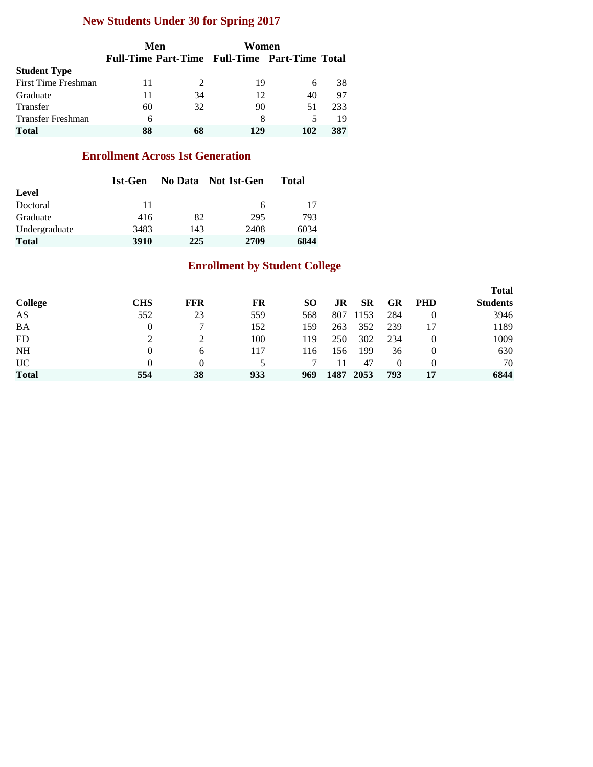## **New Students Under 30 for Spring 2017**

|                     |    | Men | Women                                         |     |     |
|---------------------|----|-----|-----------------------------------------------|-----|-----|
|                     |    |     | Full-Time Part-Time Full-Time Part-Time Total |     |     |
| <b>Student Type</b> |    |     |                                               |     |     |
| First Time Freshman | 11 |     | 19                                            | 6   | 38  |
| Graduate            | 11 | 34  | 12                                            | 40  | 97  |
| Transfer            | 60 | 32  | 90                                            | 51  | 233 |
| Transfer Freshman   | 6  |     | 8                                             | 5   | 19  |
| <b>Total</b>        | 88 |     | 129                                           | 102 | 387 |

#### **Enrollment Across 1st Generation**

|               | 1st-Gen |     | No Data Not 1st-Gen | Total |
|---------------|---------|-----|---------------------|-------|
| Level         |         |     |                     |       |
| Doctoral      | 11      |     | 6                   | 17    |
| Graduate      | 416     | 82  | 295                 | 793   |
| Undergraduate | 3483    | 143 | 2408                | 6034  |
| <b>Total</b>  | 3910    | 225 | 2709                | 6844  |

## **Enrollment by Student College**

|                |            |            |     |     |      |           |          |            | <b>Total</b>    |
|----------------|------------|------------|-----|-----|------|-----------|----------|------------|-----------------|
| <b>College</b> | <b>CHS</b> | <b>FFR</b> | FR  | SO. | JR   | <b>SR</b> | GR       | <b>PHD</b> | <b>Students</b> |
| AS             | 552        | 23         | 559 | 568 | 807  | 1153      | 284      | $\theta$   | 3946            |
| <b>BA</b>      |            |            | 152 | 159 | 263  | 352       | 239      | 17         | 1189            |
| ED             |            |            | 100 | 119 | 250  | 302       | 234      | $\theta$   | 1009            |
| <b>NH</b>      |            | 6          | 117 | 116 | 156  | 199       | 36       | $\theta$   | 630             |
| UC             |            | 0          |     |     |      | 47        | $\Omega$ | $\theta$   | 70              |
| <b>Total</b>   | 554        | 38         | 933 | 969 | 1487 | 2053      | 793      | 17         | 6844            |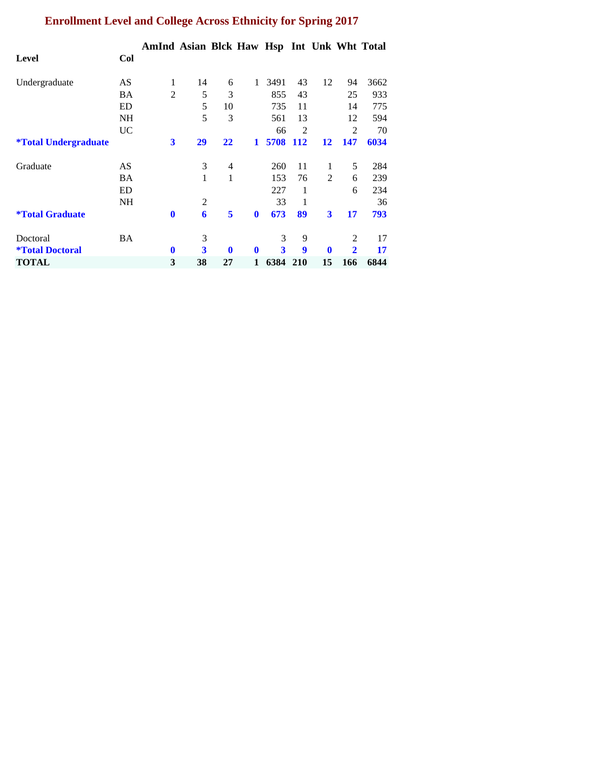# **Enrollment Level and College Across Ethnicity for Spring 2017**

|                                    |           | AmInd Asian Blck Haw Hsp Int Unk Wht Total |                |              |              |      |            |                |                |      |
|------------------------------------|-----------|--------------------------------------------|----------------|--------------|--------------|------|------------|----------------|----------------|------|
| Level                              | Col       |                                            |                |              |              |      |            |                |                |      |
| Undergraduate                      | AS        | 1                                          | 14             | 6            | 1            | 3491 | 43         | 12             | 94             | 3662 |
|                                    | <b>BA</b> | $\overline{2}$                             | 5              | 3            |              | 855  | 43         |                | 25             | 933  |
|                                    | ED        |                                            | 5              | 10           |              | 735  | 11         |                | 14             | 775  |
|                                    | <b>NH</b> |                                            | 5              | 3            |              | 561  | 13         |                | 12             | 594  |
|                                    | <b>UC</b> |                                            |                |              |              | 66   | 2          |                | 2              | 70   |
| <i><b>*Total Undergraduate</b></i> |           | 3                                          | 29             | 22           | $\mathbf{1}$ | 5708 | <b>112</b> | 12             | 147            | 6034 |
| Graduate                           | AS        |                                            | 3              | 4            |              | 260  | 11         | 1              | 5              | 284  |
|                                    | <b>BA</b> |                                            | 1              | 1            |              | 153  | 76         | $\mathfrak{D}$ | 6              | 239  |
|                                    | ED        |                                            |                |              |              | 227  | 1          |                | 6              | 234  |
|                                    | NH        |                                            | $\overline{2}$ |              |              | 33   | 1          |                |                | 36   |
| <i><b>*Total Graduate</b></i>      |           | $\mathbf{0}$                               | 6              | 5            | $\bf{0}$     | 673  | 89         | 3              | 17             | 793  |
| Doctoral                           | BA        |                                            | 3              |              |              | 3    | 9          |                | 2              | 17   |
| <i><b>*Total Doctoral</b></i>      |           | $\mathbf{0}$                               | 3              | $\mathbf{0}$ | $\mathbf{0}$ | 3    | 9          | $\mathbf 0$    | $\overline{2}$ | 17   |
| TOTAL                              |           | 3                                          | 38             | 27           | 1            | 6384 | <b>210</b> | 15             | 166            | 6844 |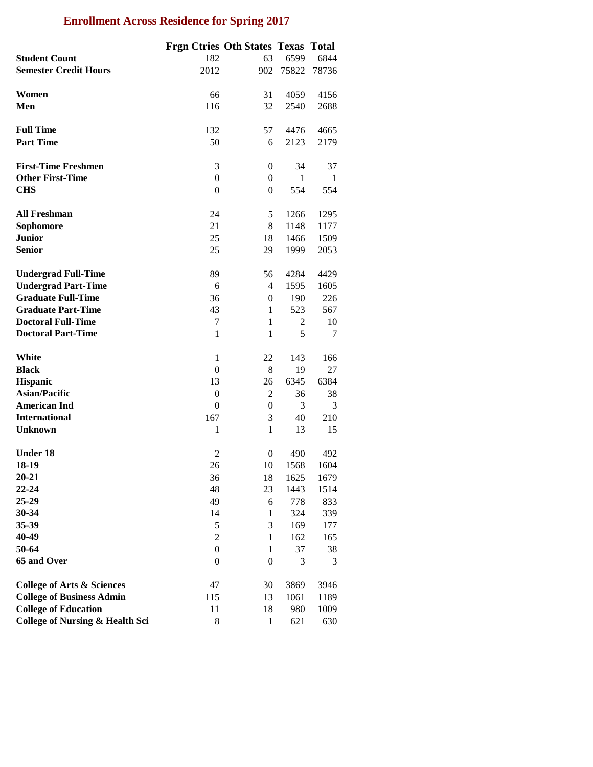## **Enrollment Across Residence for Spring 2017**

|                                            | <b>Frgn Ctries Oth States Texas Total</b> |                |              |       |
|--------------------------------------------|-------------------------------------------|----------------|--------------|-------|
| <b>Student Count</b>                       | 182                                       | 63             | 6599         | 6844  |
| <b>Semester Credit Hours</b>               | 2012                                      | 902            | 75822        | 78736 |
|                                            |                                           |                |              |       |
| Women                                      | 66                                        | 31             | 4059         | 4156  |
| Men                                        | 116                                       | 32             | 2540         | 2688  |
|                                            |                                           |                |              |       |
| <b>Full Time</b>                           | 132                                       | 57             | 4476         | 4665  |
| <b>Part Time</b>                           | 50                                        | 6              | 2123         | 2179  |
|                                            |                                           |                |              |       |
| <b>First-Time Freshmen</b>                 | 3                                         | 0              | 34           | 37    |
| <b>Other First-Time</b>                    | $\theta$                                  | $\mathbf{0}$   | $\mathbf{1}$ | 1     |
| <b>CHS</b>                                 | $\boldsymbol{0}$                          | $\overline{0}$ | 554          | 554   |
|                                            |                                           |                |              |       |
| <b>All Freshman</b>                        | 24                                        | 5              | 1266         | 1295  |
| Sophomore                                  | 21                                        | 8              | 1148         | 1177  |
| <b>Junior</b>                              | 25                                        | 18             | 1466         | 1509  |
| <b>Senior</b>                              | 25                                        | 29             | 1999         | 2053  |
|                                            |                                           |                |              |       |
| <b>Undergrad Full-Time</b>                 | 89                                        | 56             | 4284         | 4429  |
| <b>Undergrad Part-Time</b>                 | 6                                         | $\overline{4}$ | 1595         | 1605  |
| <b>Graduate Full-Time</b>                  | 36                                        | $\overline{0}$ | 190          | 226   |
| <b>Graduate Part-Time</b>                  | 43                                        | 1              | 523          | 567   |
| <b>Doctoral Full-Time</b>                  | 7                                         | 1              | 2            | 10    |
| <b>Doctoral Part-Time</b>                  | $\mathbf{1}$                              | $\mathbf{1}$   | 5            | 7     |
|                                            |                                           |                |              |       |
| White                                      | $\mathbf{1}$                              | 22             | 143          | 166   |
| <b>Black</b>                               | $\theta$                                  | 8              | 19           | 27    |
| <b>Hispanic</b>                            | 13                                        | 26             | 6345         | 6384  |
| <b>Asian/Pacific</b>                       | $\theta$                                  | $\mathfrak{2}$ | 36           | 38    |
| <b>American Ind</b>                        | $\theta$                                  | $\mathbf{0}$   | 3            | 3     |
| <b>International</b>                       | 167                                       | 3              | 40           | 210   |
| <b>Unknown</b>                             | $\mathbf{1}$                              | $\mathbf{1}$   | 13           | 15    |
|                                            |                                           |                |              |       |
| <b>Under 18</b>                            | $\overline{2}$                            | $\mathbf{0}$   | 490          | 492   |
| 18-19                                      | 26                                        | 10             | 1568         | 1604  |
| $20 - 21$                                  | 36                                        | 18             | 1625         | 1679  |
| $22 - 24$                                  | 48                                        | 23             | 1443         | 1514  |
| 25-29                                      | 49                                        | 6              | 778          | 833   |
| 30-34                                      | 14                                        | 1              | 324          | 339   |
| 35-39                                      | 5                                         | 3              | 169          | 177   |
| 40-49                                      | 2                                         | 1              | 162          | 165   |
| 50-64                                      | $\boldsymbol{0}$                          | $\mathbf{1}$   | 37           | 38    |
| 65 and Over                                | $\theta$                                  | $\overline{0}$ | 3            | 3     |
|                                            |                                           |                |              |       |
| <b>College of Arts &amp; Sciences</b>      | 47                                        | 30             | 3869         | 3946  |
| <b>College of Business Admin</b>           | 115                                       | 13             | 1061         | 1189  |
| <b>College of Education</b>                | 11                                        | 18             | 980          | 1009  |
| <b>College of Nursing &amp; Health Sci</b> | 8                                         | $\mathbf{1}$   | 621          | 630   |
|                                            |                                           |                |              |       |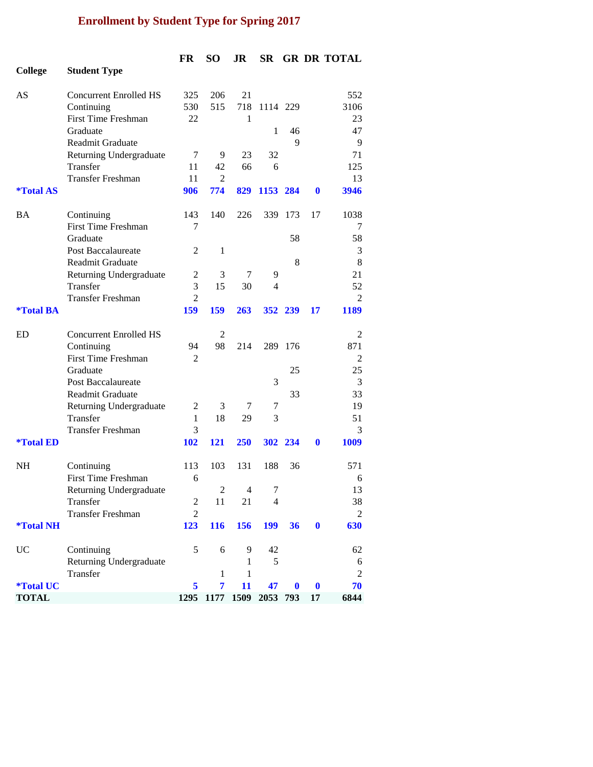## **Enrollment by Student Type for Spring 2017**

|                         |                               | FR             | <b>SO</b>      | JR             | <b>SR</b>       |                  |                  | <b>GR DR TOTAL</b> |
|-------------------------|-------------------------------|----------------|----------------|----------------|-----------------|------------------|------------------|--------------------|
| <b>College</b>          | <b>Student Type</b>           |                |                |                |                 |                  |                  |                    |
|                         |                               |                |                |                |                 |                  |                  |                    |
| AS                      | <b>Concurrent Enrolled HS</b> | 325            | 206            | 21             |                 |                  |                  | 552                |
|                         | Continuing                    | 530            | 515            | 718            | 1114 229        |                  |                  | 3106               |
|                         | <b>First Time Freshman</b>    | 22             |                | 1              |                 |                  |                  | 23                 |
|                         | Graduate                      |                |                |                | 1               | 46               |                  | 47                 |
|                         | Readmit Graduate              |                |                |                |                 | 9                |                  | 9                  |
|                         | Returning Undergraduate       | 7              | 9              | 23             | 32              |                  |                  | 71                 |
|                         | Transfer                      | 11             | 42             | 66             | 6               |                  |                  | 125                |
|                         | <b>Transfer Freshman</b>      | 11             | 2              |                |                 |                  |                  | 13                 |
| <i><b>*Total AS</b></i> |                               | 906            | 774            | 829            | 1153 284        |                  | $\mathbf 0$      | 3946               |
|                         |                               |                |                |                |                 |                  |                  |                    |
| BA                      | Continuing                    | 143            | 140            | 226            |                 | 339 173          | 17               | 1038               |
|                         | <b>First Time Freshman</b>    | 7              |                |                |                 |                  |                  | 7                  |
|                         | Graduate                      |                |                |                |                 | 58               |                  | 58                 |
|                         | <b>Post Baccalaureate</b>     | $\overline{2}$ | 1              |                |                 |                  |                  | 3                  |
|                         | Readmit Graduate              |                |                |                |                 | 8                |                  | 8                  |
|                         |                               | 2              | 3              | 7              | 9               |                  |                  | 21                 |
|                         | Returning Undergraduate       | 3              |                |                |                 |                  |                  |                    |
|                         | Transfer                      |                | 15             | 30             | 4               |                  |                  | 52                 |
|                         | <b>Transfer Freshman</b>      | $\overline{2}$ |                |                |                 |                  |                  | $\overline{2}$     |
| <i><b>*Total BA</b></i> |                               | 159            | 159            | 263            |                 | 352 239          | 17               | 1189               |
| ED                      |                               |                | 2              |                |                 |                  |                  |                    |
|                         | <b>Concurrent Enrolled HS</b> |                |                |                |                 |                  |                  | $\overline{c}$     |
|                         | Continuing                    | 94             | 98             | 214            | 289             | 176              |                  | 871                |
|                         | <b>First Time Freshman</b>    | 2              |                |                |                 |                  |                  | 2                  |
|                         | Graduate                      |                |                |                |                 | 25               |                  | 25                 |
|                         | <b>Post Baccalaureate</b>     |                |                |                | 3               |                  |                  | 3                  |
|                         | Readmit Graduate              |                |                |                |                 | 33               |                  | 33                 |
|                         | Returning Undergraduate       | 2              | 3              | 7              | 7               |                  |                  | 19                 |
|                         | Transfer                      | 1              | 18             | 29             | 3               |                  |                  | 51                 |
|                         | <b>Transfer Freshman</b>      | 3              |                |                |                 |                  |                  | 3                  |
| <i><b>*Total ED</b></i> |                               | <b>102</b>     | 121            | 250            |                 | 302 234          | $\mathbf{0}$     | 1009               |
| <b>NH</b>               |                               | 113            | 103            | 131            | 188             |                  |                  | 571                |
|                         | Continuing                    |                |                |                |                 | 36               |                  |                    |
|                         | <b>First Time Freshman</b>    | 6              |                |                |                 |                  |                  | 6                  |
|                         | Returning Undergraduate       |                | $\overline{2}$ | $\overline{4}$ | $7\phantom{.0}$ |                  |                  | 13                 |
|                         | Transfer                      | $\overline{c}$ | 11             | 21             | 4               |                  |                  | 38                 |
|                         | <b>Transfer Freshman</b>      | $\overline{c}$ |                |                |                 |                  |                  | $\overline{2}$     |
| <i><b>*Total NH</b></i> |                               | 123            | 116            | 156            | <b>199</b>      | 36               | $\boldsymbol{0}$ | 630                |
| UC                      | Continuing                    | 5              | 6              | 9              | 42              |                  |                  | 62                 |
|                         | Returning Undergraduate       |                |                | 1              | 5               |                  |                  | 6                  |
|                         | Transfer                      |                | 1              | 1              |                 |                  |                  | $\mathfrak{2}$     |
| <i><b>*Total UC</b></i> |                               | 5              | $\overline{7}$ | 11             | 47              | $\boldsymbol{0}$ | $\bf{0}$         | 70                 |
| <b>TOTAL</b>            |                               |                | 1295 1177      | 1509           | 2053            | 793              | 17               | 6844               |
|                         |                               |                |                |                |                 |                  |                  |                    |